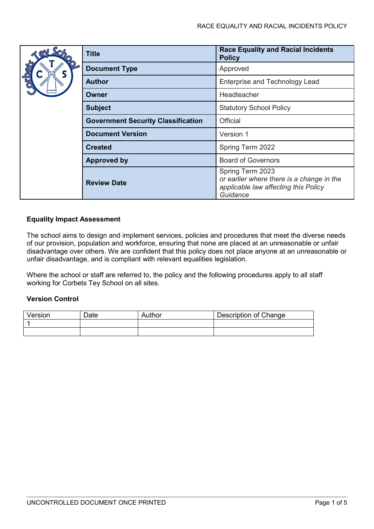|  | Title                                     | <b>Race Equality and Racial Incidents</b><br><b>Policy</b>                                                        |
|--|-------------------------------------------|-------------------------------------------------------------------------------------------------------------------|
|  | <b>Document Type</b>                      | Approved                                                                                                          |
|  | Author                                    | <b>Enterprise and Technology Lead</b>                                                                             |
|  | Owner                                     | <b>Headteacher</b>                                                                                                |
|  | <b>Subject</b>                            | <b>Statutory School Policy</b>                                                                                    |
|  | <b>Government Security Classification</b> | <b>Official</b>                                                                                                   |
|  | <b>Document Version</b>                   | Version 1                                                                                                         |
|  | <b>Created</b>                            | Spring Term 2022                                                                                                  |
|  | <b>Approved by</b>                        | <b>Board of Governors</b>                                                                                         |
|  | <b>Review Date</b>                        | Spring Term 2023<br>or earlier where there is a change in the<br>applicable law affecting this Policy<br>Guidance |

# **Equality Impact Assessment**

The school aims to design and implement services, policies and procedures that meet the diverse needs of our provision, population and workforce, ensuring that none are placed at an unreasonable or unfair disadvantage over others. We are confident that this policy does not place anyone at an unreasonable or unfair disadvantage, and is compliant with relevant equalities legislation.

Where the school or staff are referred to, the policy and the following procedures apply to all staff working for Corbets Tey School on all sites.

# **Version Control**

| Version | Date | Author | Description of Change |
|---------|------|--------|-----------------------|
|         |      |        |                       |
|         |      |        |                       |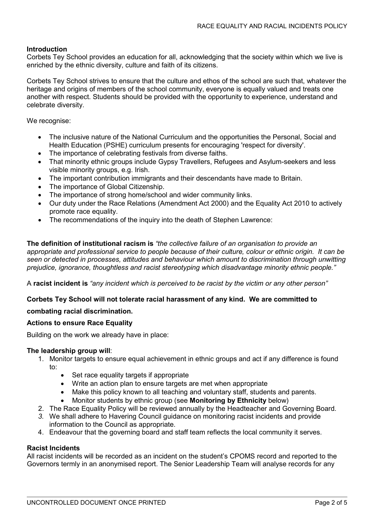### **Introduction**

Corbets Tey School provides an education for all, acknowledging that the society within which we live is enriched by the ethnic diversity, culture and faith of its citizens.

Corbets Tey School strives to ensure that the culture and ethos of the school are such that, whatever the heritage and origins of members of the school community, everyone is equally valued and treats one another with respect. Students should be provided with the opportunity to experience, understand and celebrate diversity.

We recognise:

- The inclusive nature of the National Curriculum and the opportunities the Personal, Social and Health Education (PSHE) curriculum presents for encouraging 'respect for diversity'.
- The importance of celebrating festivals from diverse faiths.
- That minority ethnic groups include Gypsy Travellers, Refugees and Asylum-seekers and less visible minority groups, e.g. Irish.
- The important contribution immigrants and their descendants have made to Britain.
- The importance of Global Citizenship.
- The importance of strong home/school and wider community links.
- Our duty under the Race Relations (Amendment Act 2000) and the Equality Act 2010 to actively promote race equality.
- The recommendations of the inquiry into the death of Stephen Lawrence:

**The definition of institutional racism is** *"the collective failure of an organisation to provide an appropriate and professional service to people because of their culture, colour or ethnic origin. It can be seen or detected in processes, attitudes and behaviour which amount to discrimination through unwitting prejudice, ignorance, thoughtless and racist stereotyping which disadvantage minority ethnic people."*

A **racist incident is** *"any incident which is perceived to be racist by the victim or any other person"*

### **Corbets Tey School will not tolerate racial harassment of any kind. We are committed to**

# **combating racial discrimination.**

### **Actions to ensure Race Equality**

Building on the work we already have in place:

### **The leadership group will**:

- 1. Monitor targets to ensure equal achievement in ethnic groups and act if any difference is found to:
	- Set race equality targets if appropriate
	- Write an action plan to ensure targets are met when appropriate
	- Make this policy known to all teaching and voluntary staff, students and parents.
	- Monitor students by ethnic group (see **Monitoring by Ethnicity** below)
- 2. The Race Equality Policy will be reviewed annually by the Headteacher and Governing Board.
- *3.* We shall adhere to Havering Council guidance on monitoring racist incidents and provide information to the Council as appropriate.
- 4. Endeavour that the governing board and staff team reflects the local community it serves.

### **Racist Incidents**

All racist incidents will be recorded as an incident on the student's CPOMS record and reported to the Governors termly in an anonymised report. The Senior Leadership Team will analyse records for any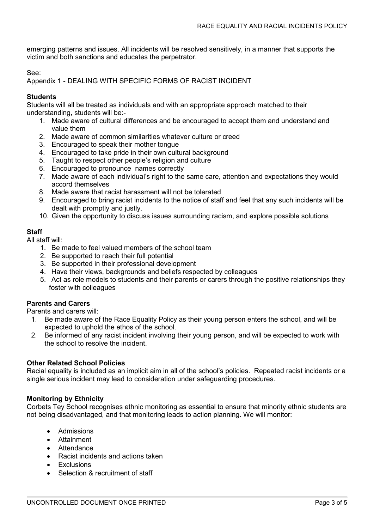emerging patterns and issues. All incidents will be resolved sensitively, in a manner that supports the victim and both sanctions and educates the perpetrator.

See:

Appendix 1 - DEALING WITH SPECIFIC FORMS OF RACIST INCIDENT

### **Students**

Students will all be treated as individuals and with an appropriate approach matched to their understanding, students will be:-

- 1. Made aware of cultural differences and be encouraged to accept them and understand and value them
- 2. Made aware of common similarities whatever culture or creed
- 3. Encouraged to speak their mother tongue
- 4. Encouraged to take pride in their own cultural background
- 5. Taught to respect other people's religion and culture
- 6. Encouraged to pronounce names correctly
- 7. Made aware of each individual's right to the same care, attention and expectations they would accord themselves
- 8. Made aware that racist harassment will not be tolerated
- 9. Encouraged to bring racist incidents to the notice of staff and feel that any such incidents will be dealt with promptly and justly.
- 10. Given the opportunity to discuss issues surrounding racism, and explore possible solutions

# **Staff**

All staff will:

- 1. Be made to feel valued members of the school team
- 2. Be supported to reach their full potential
- 3. Be supported in their professional development
- 4. Have their views, backgrounds and beliefs respected by colleagues
- 5. Act as role models to students and their parents or carers through the positive relationships they foster with colleagues

### **Parents and Carers**

Parents and carers will:

- 1. Be made aware of the Race Equality Policy as their young person enters the school, and will be expected to uphold the ethos of the school.
- 2. Be informed of any racist incident involving their young person, and will be expected to work with the school to resolve the incident.

#### **Other Related School Policies**

Racial equality is included as an implicit aim in all of the school's policies. Repeated racist incidents or a single serious incident may lead to consideration under safeguarding procedures.

#### **Monitoring by Ethnicity**

Corbets Tey School recognises ethnic monitoring as essential to ensure that minority ethnic students are not being disadvantaged, and that monitoring leads to action planning. We will monitor:

- Admissions
- Attainment
- Attendance
- Racist incidents and actions taken
- Exclusions
- Selection & recruitment of staff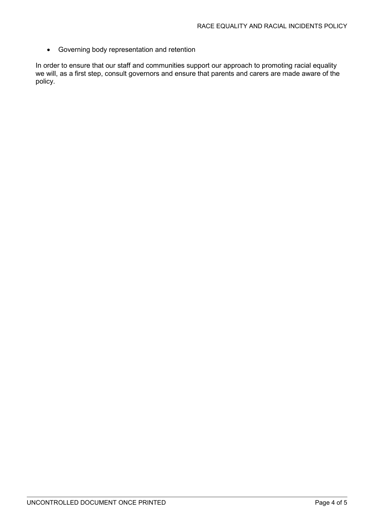• Governing body representation and retention

In order to ensure that our staff and communities support our approach to promoting racial equality we will, as a first step, consult governors and ensure that parents and carers are made aware of the policy.